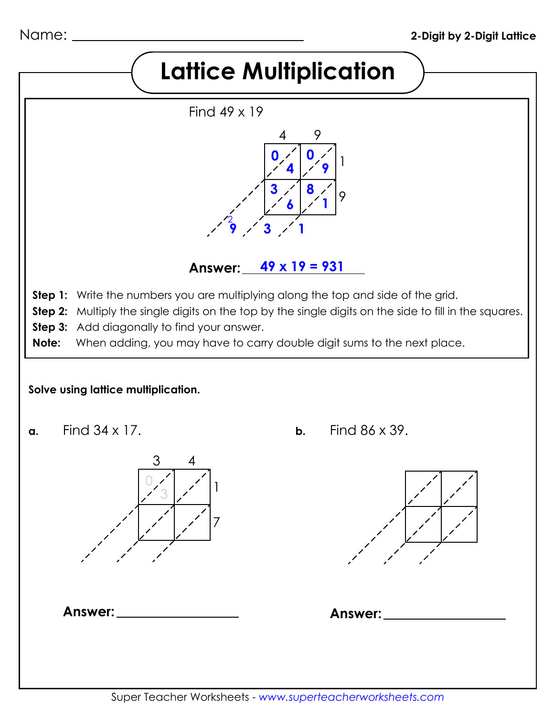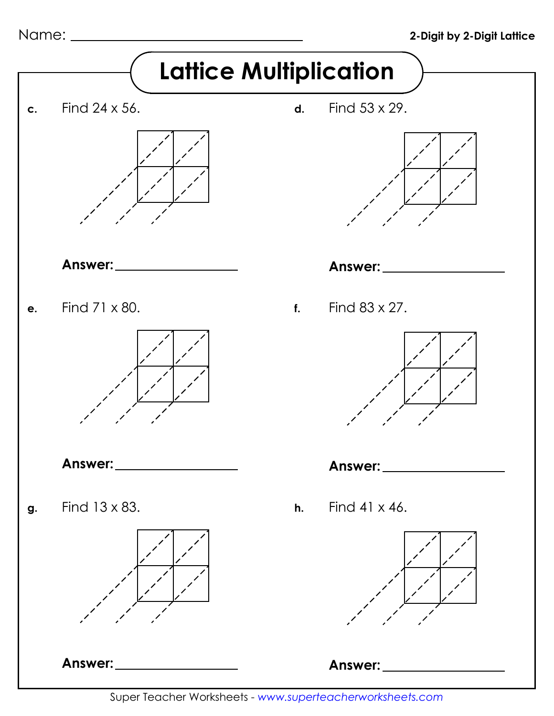Name:



Super Teacher Worksheets - *www.superteacherworksheets.com*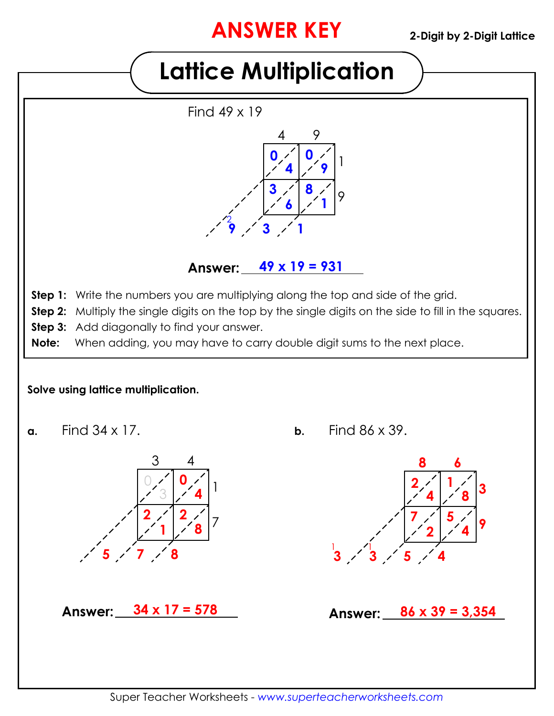## **ANSWER KEY**

# **Lattice Multiplication**



### **Answer: 49 x 19 = 931**

- **Step 1:** Write the numbers you are multiplying along the top and side of the grid.
- **Step 2:** Multiply the single digits on the top by the single digits on the side to fill in the squares.
- **Step 3:** Add diagonally to find your answer.
- **Note:** When adding, you may have to carry double digit sums to the next place.

#### **Solve using lattice multiplication.**



**Answer: 34 x 17 = 578**

**7 8**

Find 34 x 17. **a.** Find 86 x 39. **b.**



**Answer: 86 x 39 = 3,354**